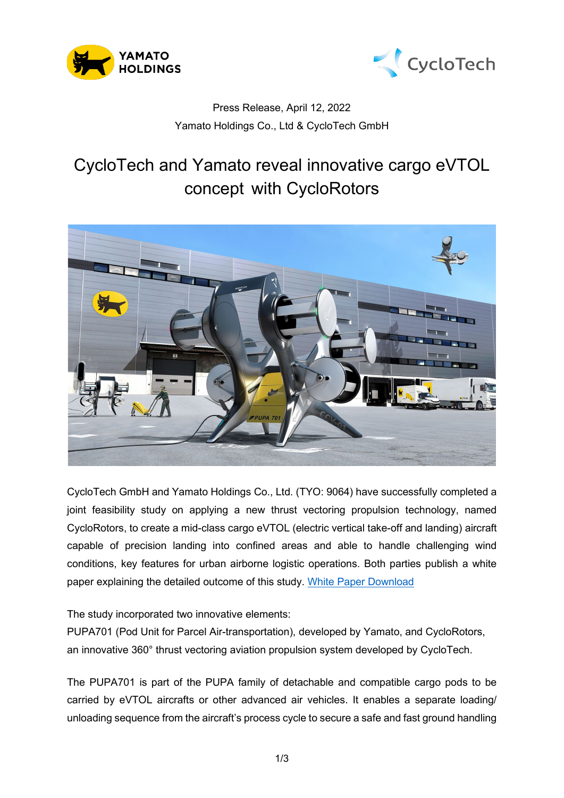



## Press Release, April 12, 2022 Yamato Holdings Co., Ltd & CycloTech GmbH

# CycloTech and Yamato reveal innovative cargo eVTOL concept with CycloRotors



CycloTech GmbH and Yamato Holdings Co., Ltd. (TYO: 9064) have successfully completed a joint feasibility study on applying a new thrust vectoring propulsion technology, named CycloRotors, to create a mid-class cargo eVTOL (electric vertical take-off and landing) aircraft capable of precision landing into confined areas and able to handle challenging wind conditions, key features for urban airborne logistic operations. Both parties publish a white paper explaining the detailed outcome of this study. [White Paper Download](https://www.cyclotech.at/?p=1706)

## The study incorporated two innovative elements:

PUPA701 (Pod Unit for Parcel Air-transportation), developed by Yamato, and CycloRotors, an innovative 360° thrust vectoring aviation propulsion system developed by CycloTech.

The PUPA701 is part of the PUPA family of detachable and compatible cargo pods to be carried by eVTOL aircrafts or other advanced air vehicles. It enables a separate loading/ unloading sequence from the aircraft's process cycle to secure a safe and fast ground handling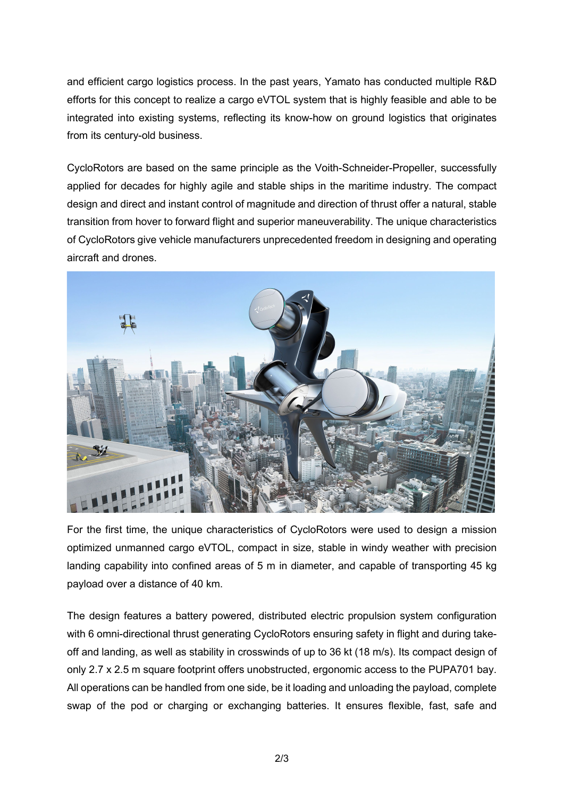and efficient cargo logistics process. In the past years, Yamato has conducted multiple R&D efforts for this concept to realize a cargo eVTOL system that is highly feasible and able to be integrated into existing systems, reflecting its know-how on ground logistics that originates from its century-old business.

CycloRotors are based on the same principle as the Voith-Schneider-Propeller, successfully applied for decades for highly agile and stable ships in the maritime industry. The compact design and direct and instant control of magnitude and direction of thrust offer a natural, stable transition from hover to forward flight and superior maneuverability. The unique characteristics of CycloRotors give vehicle manufacturers unprecedented freedom in designing and operating aircraft and drones.



For the first time, the unique characteristics of CycloRotors were used to design a mission optimized unmanned cargo eVTOL, compact in size, stable in windy weather with precision landing capability into confined areas of 5 m in diameter, and capable of transporting 45 kg payload over a distance of 40 km.

The design features a battery powered, distributed electric propulsion system configuration with 6 omni-directional thrust generating CycloRotors ensuring safety in flight and during takeoff and landing, as well as stability in crosswinds of up to 36 kt (18 m/s). Its compact design of only 2.7 x 2.5 m square footprint offers unobstructed, ergonomic access to the PUPA701 bay. All operations can be handled from one side, be it loading and unloading the payload, complete swap of the pod or charging or exchanging batteries. It ensures flexible, fast, safe and